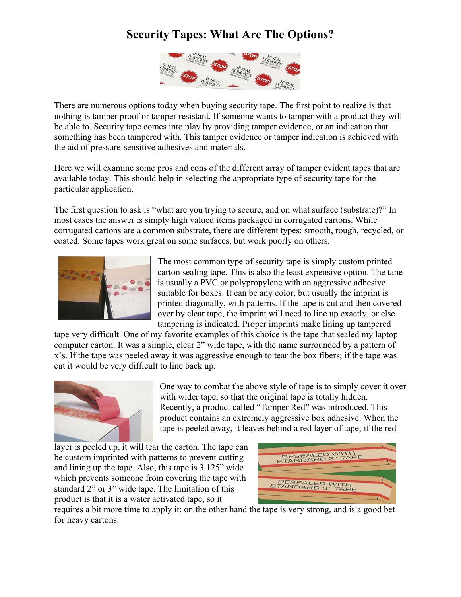## **Security Tapes: What Are The Options?**



There are numerous options today when buying security tape. The first point to realize is that nothing is tamper proof or tamper resistant. If someone wants to tamper with a product they will be able to. Security tape comes into play by providing tamper evidence, or an indication that something has been tampered with. This tamper evidence or tamper indication is achieved with the aid of pressure-sensitive adhesives and materials.

Here we will examine some pros and cons of the different array of tamper evident tapes that are available today. This should help in selecting the appropriate type of security tape for the particular application.

The first question to ask is "what are you trying to secure, and on what surface (substrate)?" In most cases the answer is simply high valued items packaged in corrugated cartons. While corrugated cartons are a common substrate, there are different types: smooth, rough, recycled, or coated. Some tapes work great on some surfaces, but work poorly on others.



The most common type of security tape is simply custom printed carton sealing tape. This is also the least expensive option. The tape is usually a PVC or polypropylene with an aggressive adhesive suitable for boxes. It can be any color, but usually the imprint is printed diagonally, with patterns. If the tape is cut and then covered over by clear tape, the imprint will need to line up exactly, or else tampering is indicated. Proper imprints make lining up tampered

tape very difficult. One of my favorite examples of this choice is the tape that sealed my laptop computer carton. It was a simple, clear 2" wide tape, with the name surrounded by a pattern of x's. If the tape was peeled away it was aggressive enough to tear the box fibers; if the tape was cut it would be very difficult to line back up.



One way to combat the above style of tape is to simply cover it o ver with wider tape, so that the original tape is totally hidden. Recently, a product called "Tamper Red" was introduced. This product contains an extremely aggressive box adhesive. When the tape is peeled away, it leaves behind a red layer of tape; if the red

layer is peeled up, it will tear the carton. The tape c an be custom imprinted with patterns to prevent cutting and lining up the tape. Also, this tape is 3.125" wide which prevents someone from covering the tape with standard 2" or 3" wide tape. The limitation of this product is that it is a water activated tape, so it



requires a bit more time to apply it; on the other hand the tape is very strong, and is a good bet for heavy cartons.